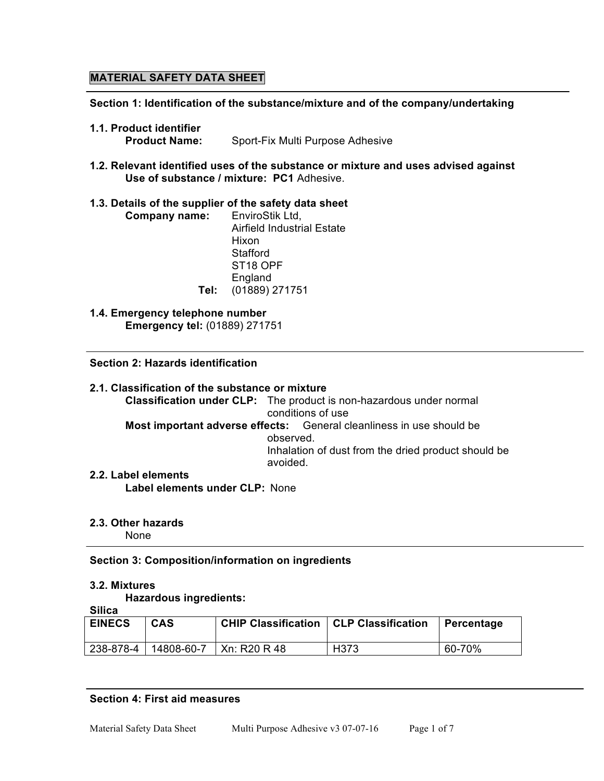# **MATERIAL SAFETY DATA SHEET**

**Section 1: Identification of the substance/mixture and of the company/undertaking**

- **1.1. Product identifier**
	- **Product Name:** Sport-Fix Multi Purpose Adhesive
- **1.2. Relevant identified uses of the substance or mixture and uses advised against Use of substance / mixture: PC1** Adhesive.

## **1.3. Details of the supplier of the safety data sheet**

- **Company name:** EnviroStik Ltd, Airfield Industrial Estate Hixon **Stafford** ST18 OPF **England Tel:** (01889) 271751
- **1.4. Emergency telephone number Emergency tel:** (01889) 271751

### **Section 2: Hazards identification**

**2.1. Classification of the substance or mixture Classification under CLP:** The product is non-hazardous under normal conditions of use **Most important adverse effects:** General cleanliness in use should be observed. Inhalation of dust from the dried product should be avoided. **2.2. Label elements**

**Label elements under CLP:** None

## **2.3. Other hazards**

None

# **Section 3: Composition/information on ingredients**

### **3.2. Mixtures**

**Hazardous ingredients: Silica**

| ΟΠΙΓα         |            |                                                 |      |            |
|---------------|------------|-------------------------------------------------|------|------------|
| <b>EINECS</b> | <b>CAS</b> | <b>CHIP Classification   CLP Classification</b> |      | Percentage |
| 238-878-4     | 14808-60-7 | Xn: R20 R 48                                    | H373 | 60-70%     |

### **Section 4: First aid measures**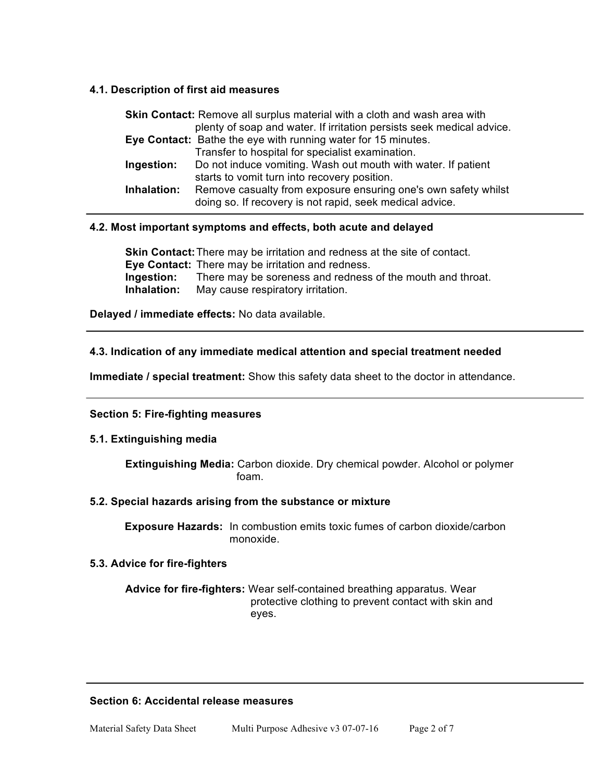# **4.1. Description of first aid measures**

| <b>Skin Contact:</b> Remove all surplus material with a cloth and wash area with |                                                                       |  |
|----------------------------------------------------------------------------------|-----------------------------------------------------------------------|--|
|                                                                                  | plenty of soap and water. If irritation persists seek medical advice. |  |
|                                                                                  | Eye Contact: Bathe the eye with running water for 15 minutes.         |  |
|                                                                                  | Transfer to hospital for specialist examination.                      |  |
| Ingestion:                                                                       | Do not induce vomiting. Wash out mouth with water. If patient         |  |
|                                                                                  | starts to vomit turn into recovery position.                          |  |
| Inhalation:                                                                      | Remove casualty from exposure ensuring one's own safety whilst        |  |
|                                                                                  | doing so. If recovery is not rapid, seek medical advice.              |  |

## **4.2. Most important symptoms and effects, both acute and delayed**

**Skin Contact:**There may be irritation and redness at the site of contact. **Eye Contact:** There may be irritation and redness. **Ingestion:** There may be soreness and redness of the mouth and throat. **Inhalation:** May cause respiratory irritation.

**Delayed / immediate effects:** No data available.

## **4.3. Indication of any immediate medical attention and special treatment needed**

**Immediate / special treatment:** Show this safety data sheet to the doctor in attendance.

### **Section 5: Fire-fighting measures**

### **5.1. Extinguishing media**

**Extinguishing Media:** Carbon dioxide. Dry chemical powder. Alcohol or polymer foam.

### **5.2. Special hazards arising from the substance or mixture**

**Exposure Hazards:** In combustion emits toxic fumes of carbon dioxide/carbon monoxide.

### **5.3. Advice for fire-fighters**

**Advice for fire-fighters:** Wear self-contained breathing apparatus. Wear protective clothing to prevent contact with skin and eyes.

### **Section 6: Accidental release measures**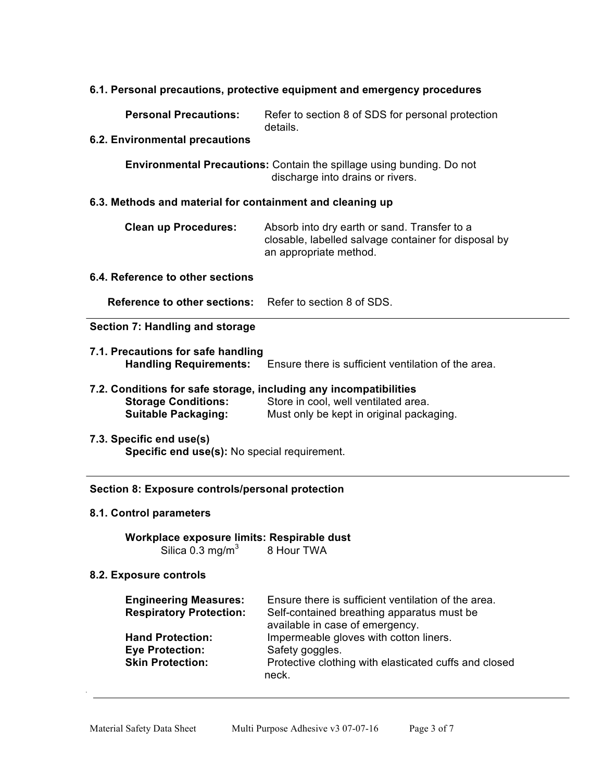# **6.1. Personal precautions, protective equipment and emergency procedures**

**Personal Precautions:** Refer to section 8 of SDS for personal protection details.

#### **6.2. Environmental precautions**

**Environmental Precautions:** Contain the spillage using bunding. Do not discharge into drains or rivers.

#### **6.3. Methods and material for containment and cleaning up**

| <b>Clean up Procedures:</b> | Absorb into dry earth or sand. Transfer to a         |
|-----------------------------|------------------------------------------------------|
|                             | closable, labelled salvage container for disposal by |
|                             | an appropriate method.                               |

# **6.4. Reference to other sections**

**Reference to other sections:** Refer to section 8 of SDS.

### **Section 7: Handling and storage**

 $\overline{a}$ 

- **7.1. Precautions for safe handling Handling Requirements:** Ensure there is sufficient ventilation of the area.
- **7.2. Conditions for safe storage, including any incompatibilities Storage Conditions:** Store in cool, well ventilated area. **Suitable Packaging:** Must only be kept in original packaging.
- **7.3. Specific end use(s) Specific end use(s):** No special requirement.

#### **Section 8: Exposure controls/personal protection**

#### **8.1. Control parameters**

**Workplace exposure limits: Respirable dust** Silica  $0.3 \text{ mg/m}^3$  8 Hour TWA

### **8.2. Exposure controls**

| <b>Engineering Measures:</b><br><b>Respiratory Protection:</b>               | Ensure there is sufficient ventilation of the area.<br>Self-contained breathing apparatus must be<br>available in case of emergency. |
|------------------------------------------------------------------------------|--------------------------------------------------------------------------------------------------------------------------------------|
| <b>Hand Protection:</b><br><b>Eye Protection:</b><br><b>Skin Protection:</b> | Impermeable gloves with cotton liners.<br>Safety goggles.<br>Protective clothing with elasticated cuffs and closed<br>neck.          |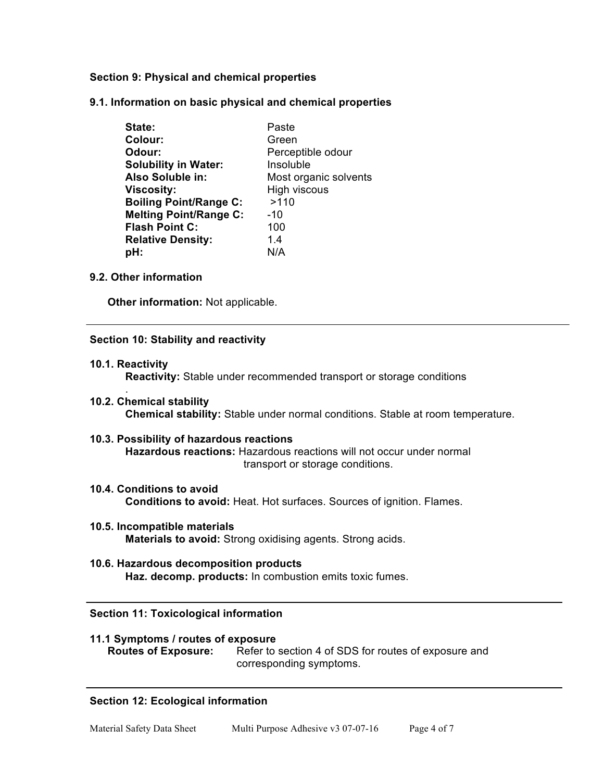# **Section 9: Physical and chemical properties**

**9.1. Information on basic physical and chemical properties**

| State:                        | Paste                 |
|-------------------------------|-----------------------|
| Colour:                       | Green                 |
| Odour:                        | Perceptible odour     |
| <b>Solubility in Water:</b>   | Insoluble             |
| Also Soluble in:              | Most organic solvents |
| <b>Viscosity:</b>             | High viscous          |
| <b>Boiling Point/Range C:</b> | >110                  |
| <b>Melting Point/Range C:</b> | $-10$                 |
| <b>Flash Point C:</b>         | 100                   |
| <b>Relative Density:</b>      | 14                    |
| pH:                           | N/A                   |

## **9.2. Other information**

**Other information:** Not applicable.

## **Section 10: Stability and reactivity**

**10.1. Reactivity**

.

**Reactivity:** Stable under recommended transport or storage conditions

- **10.2. Chemical stability Chemical stability:** Stable under normal conditions. Stable at room temperature.
- **10.3. Possibility of hazardous reactions Hazardous reactions:** Hazardous reactions will not occur under normal transport or storage conditions.
- **10.4. Conditions to avoid Conditions to avoid:** Heat. Hot surfaces. Sources of ignition. Flames.
- **10.5. Incompatible materials Materials to avoid:** Strong oxidising agents. Strong acids.
- **10.6. Hazardous decomposition products Haz. decomp. products:** In combustion emits toxic fumes.

### **Section 11: Toxicological information**

| 11.1 Symptoms / routes of exposure |                                                      |
|------------------------------------|------------------------------------------------------|
| <b>Routes of Exposure:</b>         | Refer to section 4 of SDS for routes of exposure and |
|                                    | corresponding symptoms.                              |

# **Section 12: Ecological information**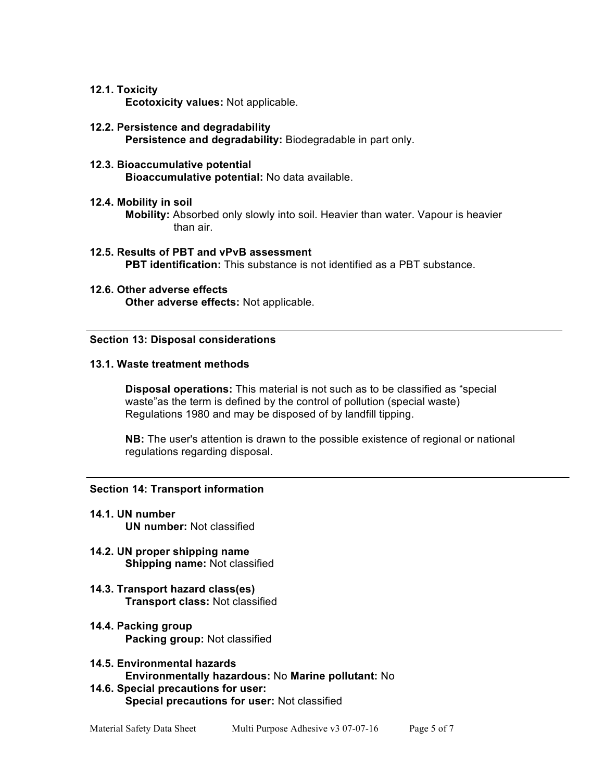### **12.1. Toxicity**

**Ecotoxicity values:** Not applicable.

**12.2. Persistence and degradability Persistence and degradability:** Biodegradable in part only.

#### **12.3. Bioaccumulative potential Bioaccumulative potential:** No data available.

### **12.4. Mobility in soil**

**Mobility:** Absorbed only slowly into soil. Heavier than water. Vapour is heavier than air.

- **12.5. Results of PBT and vPvB assessment PBT identification:** This substance is not identified as a PBT substance.
- **12.6. Other adverse effects Other adverse effects:** Not applicable.

### **Section 13: Disposal considerations**

#### **13.1. Waste treatment methods**

**Disposal operations:** This material is not such as to be classified as "special waste"as the term is defined by the control of pollution (special waste) Regulations 1980 and may be disposed of by landfill tipping.

**NB:** The user's attention is drawn to the possible existence of regional or national regulations regarding disposal.

### **Section 14: Transport information**

- **14.1. UN number UN number:** Not classified
- **14.2. UN proper shipping name Shipping name:** Not classified
- **14.3. Transport hazard class(es) Transport class:** Not classified
- **14.4. Packing group Packing group:** Not classified
- **14.5. Environmental hazards Environmentally hazardous:** No **Marine pollutant:** No
- **14.6. Special precautions for user: Special precautions for user:** Not classified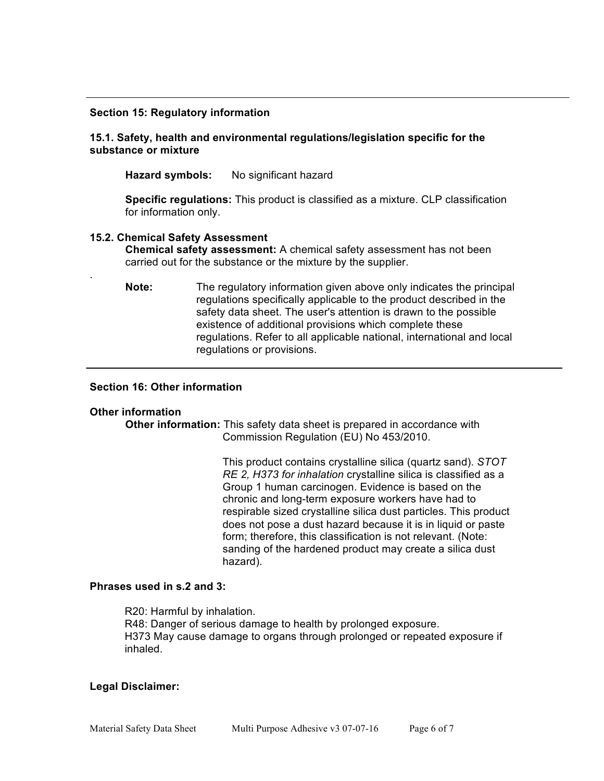#### **Section 15: Regulatory information**

### **15.1. Safety, health and environmental regulations/legislation specific for the substance or mixture**

**Hazard symbols:** No significant hazard

**Specific regulations:** This product is classified as a mixture. CLP classification for information only.

#### **15.2. Chemical Safety Assessment**

**Chemical safety assessment:** A chemical safety assessment has not been carried out for the substance or the mixture by the supplier.

**Note:** The regulatory information given above only indicates the principal regulations specifically applicable to the product described in the safety data sheet. The user's attention is drawn to the possible existence of additional provisions which complete these regulations. Refer to all applicable national, international and local regulations or provisions.

## **Section 16: Other information**

#### **Other information**

.

**Other information:** This safety data sheet is prepared in accordance with Commission Regulation (EU) No 453/2010.

> This product contains crystalline silica (quartz sand). *STOT RE 2, H373 for inhalation* crystalline silica is classified as a Group 1 human carcinogen. Evidence is based on the chronic and long-term exposure workers have had to respirable sized crystalline silica dust particles. This product does not pose a dust hazard because it is in liquid or paste form; therefore, this classification is not relevant. (Note: sanding of the hardened product may create a silica dust hazard).

#### **Phrases used in s.2 and 3:**

R20: Harmful by inhalation. R48: Danger of serious damage to health by prolonged exposure. H373 May cause damage to organs through prolonged or repeated exposure if inhaled.

#### **Legal Disclaimer:**